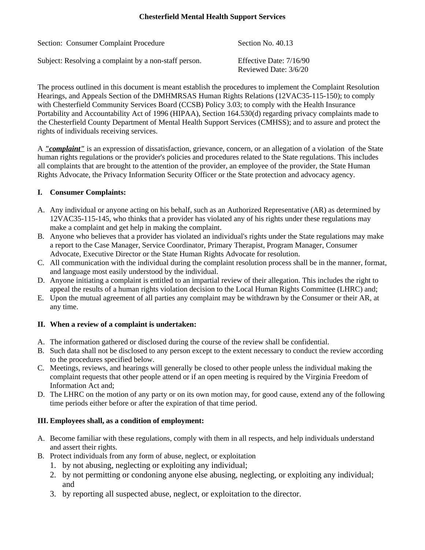# **Chesterfield Mental Health Support Services**

| Section: Consumer Complaint Procedure                 | Section No. 40.13                                  |
|-------------------------------------------------------|----------------------------------------------------|
| Subject: Resolving a complaint by a non-staff person. | Effective Date: $7/16/90$<br>Reviewed Date: 3/6/20 |

The process outlined in this document is meant establish the procedures to implement the Complaint Resolution Hearings, and Appeals Section of the DMHMRSAS Human Rights Relations (12VAC35-115-150); to comply with Chesterfield Community Services Board (CCSB) Policy 3.03; to comply with the Health Insurance Portability and Accountability Act of 1996 (HIPAA), Section 164.530(d) regarding privacy complaints made to the Chesterfield County Department of Mental Health Support Services (CMHSS); and to assure and protect the rights of individuals receiving services.

A *"complaint"* is an expression of dissatisfaction, grievance, concern, or an allegation of a violation of the State human rights regulations or the provider's policies and procedures related to the State regulations. This includes all complaints that are brought to the attention of the provider, an employee of the provider, the State Human Rights Advocate, the Privacy Information Security Officer or the State protection and advocacy agency.

# **I. Consumer Complaints:**

- A. Any individual or anyone acting on his behalf, such as an Authorized Representative (AR) as determined by 12VAC35-115-145, who thinks that a provider has violated any of his rights under these regulations may make a complaint and get help in making the complaint.
- B. Anyone who believes that a provider has violated an individual's rights under the State regulations may make a report to the Case Manager, Service Coordinator, Primary Therapist, Program Manager, Consumer Advocate, Executive Director or the State Human Rights Advocate for resolution.
- C. All communication with the individual during the complaint resolution process shall be in the manner, format, and language most easily understood by the individual.
- D. Anyone initiating a complaint is entitled to an impartial review of their allegation. This includes the right to appeal the results of a human rights violation decision to the Local Human Rights Committee (LHRC) and;
- E. Upon the mutual agreement of all parties any complaint may be withdrawn by the Consumer or their AR, at any time.

#### **II. When a review of a complaint is undertaken:**

- A. The information gathered or disclosed during the course of the review shall be confidential.
- B. Such data shall not be disclosed to any person except to the extent necessary to conduct the review according to the procedures specified below.
- C. Meetings, reviews, and hearings will generally be closed to other people unless the individual making the complaint requests that other people attend or if an open meeting is required by the Virginia Freedom of Information Act and;
- D. The LHRC on the motion of any party or on its own motion may, for good cause, extend any of the following time periods either before or after the expiration of that time period.

# **III. Employees shall, as a condition of employment:**

- A. Become familiar with these regulations, comply with them in all respects, and help individuals understand and assert their rights.
- B. Protect individuals from any form of abuse, neglect, or exploitation
	- 1. by not abusing, neglecting or exploiting any individual;
	- 2. by not permitting or condoning anyone else abusing, neglecting, or exploiting any individual; and
	- 3. by reporting all suspected abuse, neglect, or exploitation to the director.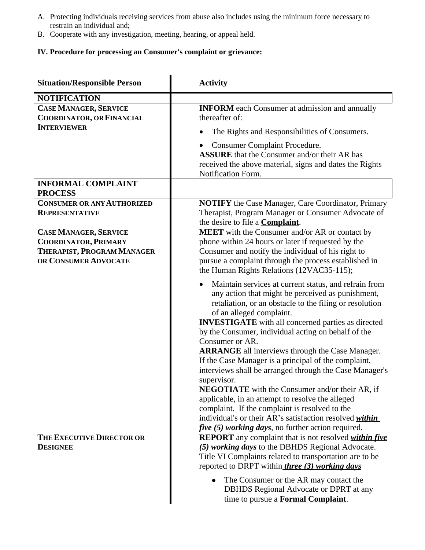- A. Protecting individuals receiving services from abuse also includes using the minimum force necessary to restrain an individual and;
- B. Cooperate with any investigation, meeting, hearing, or appeal held.

# **IV. Procedure for processing an Consumer's complaint or grievance:**

| <b>Situation/Responsible Person</b>                                                                               | <b>Activity</b>                                                                                                                                                                                                                                                                                                                                                                                                                                                                                                                                                                                                                                                                                                                                                                                                                                                                                                                                                                                                            |  |
|-------------------------------------------------------------------------------------------------------------------|----------------------------------------------------------------------------------------------------------------------------------------------------------------------------------------------------------------------------------------------------------------------------------------------------------------------------------------------------------------------------------------------------------------------------------------------------------------------------------------------------------------------------------------------------------------------------------------------------------------------------------------------------------------------------------------------------------------------------------------------------------------------------------------------------------------------------------------------------------------------------------------------------------------------------------------------------------------------------------------------------------------------------|--|
| <b>NOTIFICATION</b>                                                                                               |                                                                                                                                                                                                                                                                                                                                                                                                                                                                                                                                                                                                                                                                                                                                                                                                                                                                                                                                                                                                                            |  |
| <b>CASE MANAGER, SERVICE</b><br><b>COORDINATOR, OR FINANCIAL</b><br><b>INTERVIEWER</b>                            | <b>INFORM</b> each Consumer at admission and annually<br>thereafter of:                                                                                                                                                                                                                                                                                                                                                                                                                                                                                                                                                                                                                                                                                                                                                                                                                                                                                                                                                    |  |
|                                                                                                                   | The Rights and Responsibilities of Consumers.<br><b>Consumer Complaint Procedure.</b><br><b>ASSURE</b> that the Consumer and/or their AR has<br>received the above material, signs and dates the Rights<br>Notification Form.                                                                                                                                                                                                                                                                                                                                                                                                                                                                                                                                                                                                                                                                                                                                                                                              |  |
| <b>INFORMAL COMPLAINT</b><br><b>PROCESS</b>                                                                       |                                                                                                                                                                                                                                                                                                                                                                                                                                                                                                                                                                                                                                                                                                                                                                                                                                                                                                                                                                                                                            |  |
| <b>CONSUMER OR ANY AUTHORIZED</b><br><b>REPRESENTATIVE</b>                                                        | <b>NOTIFY</b> the Case Manager, Care Coordinator, Primary<br>Therapist, Program Manager or Consumer Advocate of<br>the desire to file a <b>Complaint</b> .                                                                                                                                                                                                                                                                                                                                                                                                                                                                                                                                                                                                                                                                                                                                                                                                                                                                 |  |
| <b>CASE MANAGER, SERVICE</b><br><b>COORDINATOR, PRIMARY</b><br>THERAPIST, PROGRAM MANAGER<br>OR CONSUMER ADVOCATE | <b>MEET</b> with the Consumer and/or AR or contact by<br>phone within 24 hours or later if requested by the<br>Consumer and notify the individual of his right to<br>pursue a complaint through the process established in<br>the Human Rights Relations (12VAC35-115);                                                                                                                                                                                                                                                                                                                                                                                                                                                                                                                                                                                                                                                                                                                                                    |  |
| THE EXECUTIVE DIRECTOR OR<br><b>DESIGNEE</b>                                                                      | Maintain services at current status, and refrain from<br>any action that might be perceived as punishment,<br>retaliation, or an obstacle to the filing or resolution<br>of an alleged complaint.<br><b>INVESTIGATE</b> with all concerned parties as directed<br>by the Consumer, individual acting on behalf of the<br>Consumer or AR.<br><b>ARRANGE</b> all interviews through the Case Manager.<br>If the Case Manager is a principal of the complaint,<br>interviews shall be arranged through the Case Manager's<br>supervisor.<br><b>NEGOTIATE</b> with the Consumer and/or their AR, if<br>applicable, in an attempt to resolve the alleged<br>complaint. If the complaint is resolved to the<br>individual's or their AR's satisfaction resolved <i>within</i><br><i>five</i> (5) working days, no further action required.<br><b>REPORT</b> any complaint that is not resolved <i>within five</i><br>(5) working days to the DBHDS Regional Advocate.<br>Title VI Complaints related to transportation are to be |  |
|                                                                                                                   | reported to DRPT within three (3) working days<br>The Consumer or the AR may contact the<br>DBHDS Regional Advocate or DPRT at any<br>time to pursue a <b>Formal Complaint</b> .                                                                                                                                                                                                                                                                                                                                                                                                                                                                                                                                                                                                                                                                                                                                                                                                                                           |  |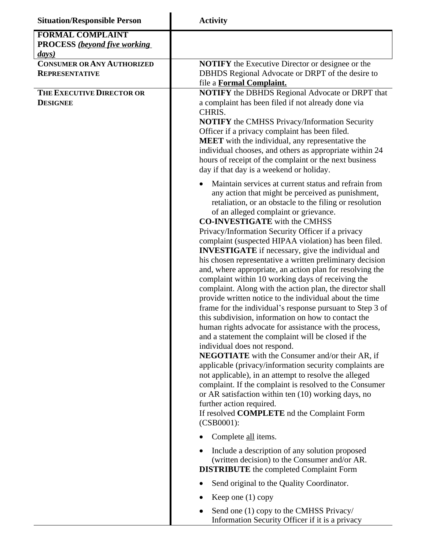| <b>Situation/Responsible Person</b> | <b>Activity</b>                                                                                                                                                                                                                                                                                                                                                                                                                                                                                                                                                                                                                                                                                                                                                                                                                                                                                                                                                                                                                                                                                                                                                                                                                                                                                                                                                                                                                                                                                                                                                                                                                                                                                                                                                                                                |  |
|-------------------------------------|----------------------------------------------------------------------------------------------------------------------------------------------------------------------------------------------------------------------------------------------------------------------------------------------------------------------------------------------------------------------------------------------------------------------------------------------------------------------------------------------------------------------------------------------------------------------------------------------------------------------------------------------------------------------------------------------------------------------------------------------------------------------------------------------------------------------------------------------------------------------------------------------------------------------------------------------------------------------------------------------------------------------------------------------------------------------------------------------------------------------------------------------------------------------------------------------------------------------------------------------------------------------------------------------------------------------------------------------------------------------------------------------------------------------------------------------------------------------------------------------------------------------------------------------------------------------------------------------------------------------------------------------------------------------------------------------------------------------------------------------------------------------------------------------------------------|--|
| <b>FORMAL COMPLAINT</b>             |                                                                                                                                                                                                                                                                                                                                                                                                                                                                                                                                                                                                                                                                                                                                                                                                                                                                                                                                                                                                                                                                                                                                                                                                                                                                                                                                                                                                                                                                                                                                                                                                                                                                                                                                                                                                                |  |
| <b>PROCESS</b> (beyond five working |                                                                                                                                                                                                                                                                                                                                                                                                                                                                                                                                                                                                                                                                                                                                                                                                                                                                                                                                                                                                                                                                                                                                                                                                                                                                                                                                                                                                                                                                                                                                                                                                                                                                                                                                                                                                                |  |
| days)                               |                                                                                                                                                                                                                                                                                                                                                                                                                                                                                                                                                                                                                                                                                                                                                                                                                                                                                                                                                                                                                                                                                                                                                                                                                                                                                                                                                                                                                                                                                                                                                                                                                                                                                                                                                                                                                |  |
| <b>CONSUMER OR ANY AUTHORIZED</b>   | <b>NOTIFY</b> the Executive Director or designee or the                                                                                                                                                                                                                                                                                                                                                                                                                                                                                                                                                                                                                                                                                                                                                                                                                                                                                                                                                                                                                                                                                                                                                                                                                                                                                                                                                                                                                                                                                                                                                                                                                                                                                                                                                        |  |
| <b>REPRESENTATIVE</b>               | DBHDS Regional Advocate or DRPT of the desire to<br>file a Formal Complaint.                                                                                                                                                                                                                                                                                                                                                                                                                                                                                                                                                                                                                                                                                                                                                                                                                                                                                                                                                                                                                                                                                                                                                                                                                                                                                                                                                                                                                                                                                                                                                                                                                                                                                                                                   |  |
| THE EXECUTIVE DIRECTOR OR           | <b>NOTIFY</b> the DBHDS Regional Advocate or DRPT that                                                                                                                                                                                                                                                                                                                                                                                                                                                                                                                                                                                                                                                                                                                                                                                                                                                                                                                                                                                                                                                                                                                                                                                                                                                                                                                                                                                                                                                                                                                                                                                                                                                                                                                                                         |  |
| <b>DESIGNEE</b>                     | a complaint has been filed if not already done via<br>CHRIS.<br><b>NOTIFY</b> the CMHSS Privacy/Information Security<br>Officer if a privacy complaint has been filed.<br><b>MEET</b> with the individual, any representative the<br>individual chooses, and others as appropriate within 24<br>hours of receipt of the complaint or the next business<br>day if that day is a weekend or holiday.<br>Maintain services at current status and refrain from<br>any action that might be perceived as punishment,<br>retaliation, or an obstacle to the filing or resolution<br>of an alleged complaint or grievance.<br><b>CO-INVESTIGATE</b> with the CMHSS<br>Privacy/Information Security Officer if a privacy<br>complaint (suspected HIPAA violation) has been filed.<br><b>INVESTIGATE</b> if necessary, give the individual and<br>his chosen representative a written preliminary decision<br>and, where appropriate, an action plan for resolving the<br>complaint within 10 working days of receiving the<br>complaint. Along with the action plan, the director shall<br>provide written notice to the individual about the time<br>frame for the individual's response pursuant to Step 3 of<br>this subdivision, information on how to contact the<br>human rights advocate for assistance with the process,<br>and a statement the complaint will be closed if the<br>individual does not respond.<br><b>NEGOTIATE</b> with the Consumer and/or their AR, if<br>applicable (privacy/information security complaints are<br>not applicable), in an attempt to resolve the alleged<br>complaint. If the complaint is resolved to the Consumer<br>or AR satisfaction within ten (10) working days, no<br>further action required.<br>If resolved <b>COMPLETE</b> nd the Complaint Form<br>(CSB0001): |  |
|                                     |                                                                                                                                                                                                                                                                                                                                                                                                                                                                                                                                                                                                                                                                                                                                                                                                                                                                                                                                                                                                                                                                                                                                                                                                                                                                                                                                                                                                                                                                                                                                                                                                                                                                                                                                                                                                                |  |
|                                     | Complete all items.                                                                                                                                                                                                                                                                                                                                                                                                                                                                                                                                                                                                                                                                                                                                                                                                                                                                                                                                                                                                                                                                                                                                                                                                                                                                                                                                                                                                                                                                                                                                                                                                                                                                                                                                                                                            |  |
|                                     | Include a description of any solution proposed<br>(written decision) to the Consumer and/or AR.<br><b>DISTRIBUTE</b> the completed Complaint Form<br>Send original to the Quality Coordinator.<br>Keep one $(1)$ copy                                                                                                                                                                                                                                                                                                                                                                                                                                                                                                                                                                                                                                                                                                                                                                                                                                                                                                                                                                                                                                                                                                                                                                                                                                                                                                                                                                                                                                                                                                                                                                                          |  |
|                                     |                                                                                                                                                                                                                                                                                                                                                                                                                                                                                                                                                                                                                                                                                                                                                                                                                                                                                                                                                                                                                                                                                                                                                                                                                                                                                                                                                                                                                                                                                                                                                                                                                                                                                                                                                                                                                |  |
|                                     |                                                                                                                                                                                                                                                                                                                                                                                                                                                                                                                                                                                                                                                                                                                                                                                                                                                                                                                                                                                                                                                                                                                                                                                                                                                                                                                                                                                                                                                                                                                                                                                                                                                                                                                                                                                                                |  |
|                                     | Send one (1) copy to the CMHSS Privacy/<br>Information Security Officer if it is a privacy                                                                                                                                                                                                                                                                                                                                                                                                                                                                                                                                                                                                                                                                                                                                                                                                                                                                                                                                                                                                                                                                                                                                                                                                                                                                                                                                                                                                                                                                                                                                                                                                                                                                                                                     |  |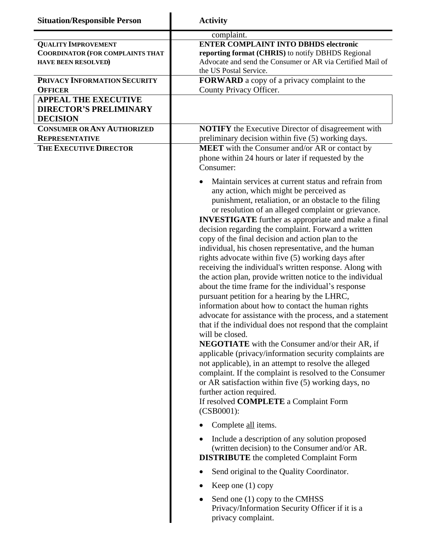| <b>Situation/Responsible Person</b>                                                                                                                                                  | <b>Activity</b>                                                                                                                                                                                                                                                                                                                                                                                                                                                                                                                                                                                                                                                                                                                                                                                                                                                                                                                                                                                                                                                                                                                                                                                                                                                                                                                                                                                                                                                                                                                                                                      |  |
|--------------------------------------------------------------------------------------------------------------------------------------------------------------------------------------|--------------------------------------------------------------------------------------------------------------------------------------------------------------------------------------------------------------------------------------------------------------------------------------------------------------------------------------------------------------------------------------------------------------------------------------------------------------------------------------------------------------------------------------------------------------------------------------------------------------------------------------------------------------------------------------------------------------------------------------------------------------------------------------------------------------------------------------------------------------------------------------------------------------------------------------------------------------------------------------------------------------------------------------------------------------------------------------------------------------------------------------------------------------------------------------------------------------------------------------------------------------------------------------------------------------------------------------------------------------------------------------------------------------------------------------------------------------------------------------------------------------------------------------------------------------------------------------|--|
| <b>QUALITY IMPROVEMENT</b><br><b>COORDINATOR (FOR COMPLAINTS THAT</b><br><b>HAVE BEEN RESOLVED)</b><br>PRIVACY INFORMATION SECURITY<br><b>OFFICER</b><br><b>APPEAL THE EXECUTIVE</b> | complaint.<br><b>ENTER COMPLAINT INTO DBHDS electronic</b><br>reporting format (CHRIS) to notify DBHDS Regional<br>Advocate and send the Consumer or AR via Certified Mail of<br>the US Postal Service.<br>FORWARD a copy of a privacy complaint to the<br>County Privacy Officer.                                                                                                                                                                                                                                                                                                                                                                                                                                                                                                                                                                                                                                                                                                                                                                                                                                                                                                                                                                                                                                                                                                                                                                                                                                                                                                   |  |
| <b>DIRECTOR'S PRELIMINARY</b><br><b>DECISION</b>                                                                                                                                     |                                                                                                                                                                                                                                                                                                                                                                                                                                                                                                                                                                                                                                                                                                                                                                                                                                                                                                                                                                                                                                                                                                                                                                                                                                                                                                                                                                                                                                                                                                                                                                                      |  |
| <b>CONSUMER OR ANY AUTHORIZED</b><br><b>REPRESENTATIVE</b><br>THE EXECUTIVE DIRECTOR                                                                                                 | <b>NOTIFY</b> the Executive Director of disagreement with<br>preliminary decision within five (5) working days.<br><b>MEET</b> with the Consumer and/or AR or contact by<br>phone within 24 hours or later if requested by the<br>Consumer:<br>Maintain services at current status and refrain from<br>any action, which might be perceived as<br>punishment, retaliation, or an obstacle to the filing<br>or resolution of an alleged complaint or grievance.<br><b>INVESTIGATE</b> further as appropriate and make a final<br>decision regarding the complaint. Forward a written<br>copy of the final decision and action plan to the<br>individual, his chosen representative, and the human<br>rights advocate within five (5) working days after<br>receiving the individual's written response. Along with<br>the action plan, provide written notice to the individual<br>about the time frame for the individual's response<br>pursuant petition for a hearing by the LHRC,<br>information about how to contact the human rights<br>advocate for assistance with the process, and a statement<br>that if the individual does not respond that the complaint<br>will be closed.<br><b>NEGOTIATE</b> with the Consumer and/or their AR, if<br>applicable (privacy/information security complaints are<br>not applicable), in an attempt to resolve the alleged<br>complaint. If the complaint is resolved to the Consumer<br>or AR satisfaction within five (5) working days, no<br>further action required.<br>If resolved <b>COMPLETE</b> a Complaint Form<br>$(CSB0001)$ : |  |
|                                                                                                                                                                                      |                                                                                                                                                                                                                                                                                                                                                                                                                                                                                                                                                                                                                                                                                                                                                                                                                                                                                                                                                                                                                                                                                                                                                                                                                                                                                                                                                                                                                                                                                                                                                                                      |  |
|                                                                                                                                                                                      | Complete all items.                                                                                                                                                                                                                                                                                                                                                                                                                                                                                                                                                                                                                                                                                                                                                                                                                                                                                                                                                                                                                                                                                                                                                                                                                                                                                                                                                                                                                                                                                                                                                                  |  |
|                                                                                                                                                                                      | Include a description of any solution proposed<br>(written decision) to the Consumer and/or AR.<br><b>DISTRIBUTE</b> the completed Complaint Form                                                                                                                                                                                                                                                                                                                                                                                                                                                                                                                                                                                                                                                                                                                                                                                                                                                                                                                                                                                                                                                                                                                                                                                                                                                                                                                                                                                                                                    |  |
|                                                                                                                                                                                      | Send original to the Quality Coordinator.                                                                                                                                                                                                                                                                                                                                                                                                                                                                                                                                                                                                                                                                                                                                                                                                                                                                                                                                                                                                                                                                                                                                                                                                                                                                                                                                                                                                                                                                                                                                            |  |
|                                                                                                                                                                                      | Keep one (1) copy                                                                                                                                                                                                                                                                                                                                                                                                                                                                                                                                                                                                                                                                                                                                                                                                                                                                                                                                                                                                                                                                                                                                                                                                                                                                                                                                                                                                                                                                                                                                                                    |  |
|                                                                                                                                                                                      | Send one (1) copy to the CMHSS<br>Privacy/Information Security Officer if it is a<br>privacy complaint.                                                                                                                                                                                                                                                                                                                                                                                                                                                                                                                                                                                                                                                                                                                                                                                                                                                                                                                                                                                                                                                                                                                                                                                                                                                                                                                                                                                                                                                                              |  |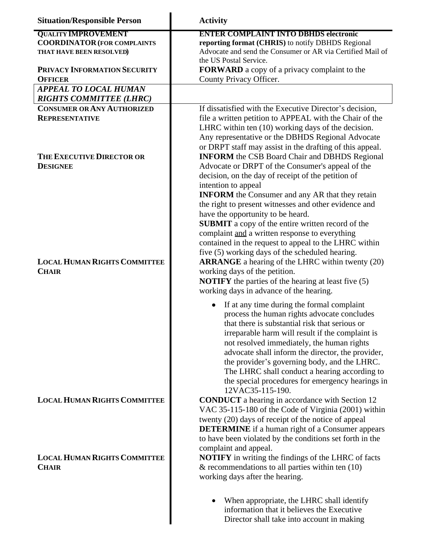| <b>Situation/Responsible Person</b>                                   | <b>Activity</b>                                                                                                                                                                                                                                                                                                                                                                                                                                                                                                                                                              |
|-----------------------------------------------------------------------|------------------------------------------------------------------------------------------------------------------------------------------------------------------------------------------------------------------------------------------------------------------------------------------------------------------------------------------------------------------------------------------------------------------------------------------------------------------------------------------------------------------------------------------------------------------------------|
| <b>QUALITY IMPROVEMENT</b>                                            | <b>ENTER COMPLAINT INTO DBHDS electronic</b>                                                                                                                                                                                                                                                                                                                                                                                                                                                                                                                                 |
| <b>COORDINATOR (FOR COMPLAINTS</b><br>THAT HAVE BEEN RESOLVED)        | reporting format (CHRIS) to notify DBHDS Regional<br>Advocate and send the Consumer or AR via Certified Mail of<br>the US Postal Service.                                                                                                                                                                                                                                                                                                                                                                                                                                    |
| PRIVACY INFORMATION SECURITY<br><b>OFFICER</b>                        | <b>FORWARD</b> a copy of a privacy complaint to the<br>County Privacy Officer.                                                                                                                                                                                                                                                                                                                                                                                                                                                                                               |
| <b>APPEAL TO LOCAL HUMAN</b><br><b>RIGHTS COMMITTEE (LHRC)</b>        |                                                                                                                                                                                                                                                                                                                                                                                                                                                                                                                                                                              |
| <b>CONSUMER OR ANY AUTHORIZED</b>                                     | If dissatisfied with the Executive Director's decision,                                                                                                                                                                                                                                                                                                                                                                                                                                                                                                                      |
| <b>REPRESENTATIVE</b><br>THE EXECUTIVE DIRECTOR OR<br><b>DESIGNEE</b> | file a written petition to APPEAL with the Chair of the<br>LHRC within ten (10) working days of the decision.<br>Any representative or the DBHDS Regional Advocate<br>or DRPT staff may assist in the drafting of this appeal.<br><b>INFORM</b> the CSB Board Chair and DBHDS Regional<br>Advocate or DRPT of the Consumer's appeal of the<br>decision, on the day of receipt of the petition of<br>intention to appeal                                                                                                                                                      |
| <b>LOCAL HUMAN RIGHTS COMMITTEE</b><br><b>CHAIR</b>                   | <b>INFORM</b> the Consumer and any AR that they retain<br>the right to present witnesses and other evidence and<br>have the opportunity to be heard.<br>SUBMIT a copy of the entire written record of the<br>complaint and a written response to everything<br>contained in the request to appeal to the LHRC within<br>five (5) working days of the scheduled hearing.<br><b>ARRANGE</b> a hearing of the LHRC within twenty (20)<br>working days of the petition.<br><b>NOTIFY</b> the parties of the hearing at least five (5)<br>working days in advance of the hearing. |
|                                                                       | If at any time during the formal complaint<br>process the human rights advocate concludes<br>that there is substantial risk that serious or<br>irreparable harm will result if the complaint is<br>not resolved immediately, the human rights<br>advocate shall inform the director, the provider,<br>the provider's governing body, and the LHRC.<br>The LHRC shall conduct a hearing according to<br>the special procedures for emergency hearings in<br>12VAC35-115-190.                                                                                                  |
| <b>LOCAL HUMAN RIGHTS COMMITTEE</b>                                   | <b>CONDUCT</b> a hearing in accordance with Section 12<br>VAC 35-115-180 of the Code of Virginia (2001) within<br>twenty (20) days of receipt of the notice of appeal<br><b>DETERMINE</b> if a human right of a Consumer appears<br>to have been violated by the conditions set forth in the<br>complaint and appeal.                                                                                                                                                                                                                                                        |
| <b>LOCAL HUMAN RIGHTS COMMITTEE</b><br><b>CHAIR</b>                   | <b>NOTIFY</b> in writing the findings of the LHRC of facts<br>$&$ recommendations to all parties within ten (10)<br>working days after the hearing.                                                                                                                                                                                                                                                                                                                                                                                                                          |
|                                                                       | When appropriate, the LHRC shall identify<br>information that it believes the Executive                                                                                                                                                                                                                                                                                                                                                                                                                                                                                      |

I

Director shall take into account in making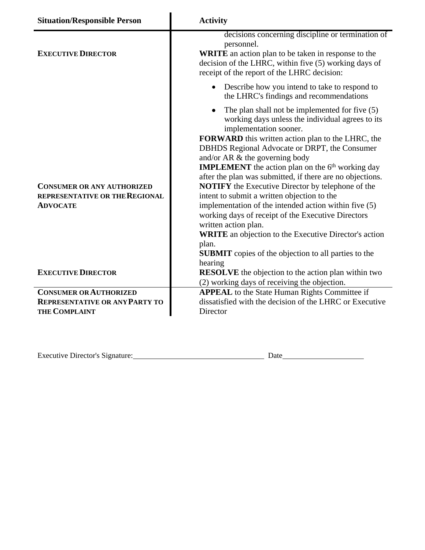| <b>Situation/Responsible Person</b>                                                    | <b>Activity</b>                                                                                                                                                                                                                                                                                                                                                                                                                                                                                                                                                                                                                                                                                                                                                                                     |  |
|----------------------------------------------------------------------------------------|-----------------------------------------------------------------------------------------------------------------------------------------------------------------------------------------------------------------------------------------------------------------------------------------------------------------------------------------------------------------------------------------------------------------------------------------------------------------------------------------------------------------------------------------------------------------------------------------------------------------------------------------------------------------------------------------------------------------------------------------------------------------------------------------------------|--|
| <b>EXECUTIVE DIRECTOR</b>                                                              | decisions concerning discipline or termination of<br>personnel.<br><b>WRITE</b> an action plan to be taken in response to the<br>decision of the LHRC, within five (5) working days of<br>receipt of the report of the LHRC decision:                                                                                                                                                                                                                                                                                                                                                                                                                                                                                                                                                               |  |
|                                                                                        | Describe how you intend to take to respond to<br>$\bullet$<br>the LHRC's findings and recommendations                                                                                                                                                                                                                                                                                                                                                                                                                                                                                                                                                                                                                                                                                               |  |
| <b>CONSUMER OR ANY AUTHORIZED</b><br>REPRESENTATIVE OR THE REGIONAL<br><b>ADVOCATE</b> | The plan shall not be implemented for five (5)<br>working days unless the individual agrees to its<br>implementation sooner.<br>FORWARD this written action plan to the LHRC, the<br>DBHDS Regional Advocate or DRPT, the Consumer<br>and/or AR & the governing body<br><b>IMPLEMENT</b> the action plan on the $6th$ working day<br>after the plan was submitted, if there are no objections.<br><b>NOTIFY</b> the Executive Director by telephone of the<br>intent to submit a written objection to the<br>implementation of the intended action within five (5)<br>working days of receipt of the Executive Directors<br>written action plan.<br><b>WRITE</b> an objection to the Executive Director's action<br>plan.<br><b>SUBMIT</b> copies of the objection to all parties to the<br>hearing |  |
| <b>EXECUTIVE DIRECTOR</b>                                                              | <b>RESOLVE</b> the objection to the action plan within two<br>(2) working days of receiving the objection.                                                                                                                                                                                                                                                                                                                                                                                                                                                                                                                                                                                                                                                                                          |  |
| <b>CONSUMER OR AUTHORIZED</b>                                                          | <b>APPEAL</b> to the State Human Rights Committee if                                                                                                                                                                                                                                                                                                                                                                                                                                                                                                                                                                                                                                                                                                                                                |  |
| <b>REPRESENTATIVE OR ANY PARTY TO</b><br><b>THE COMPLAINT</b>                          | dissatisfied with the decision of the LHRC or Executive<br>Director                                                                                                                                                                                                                                                                                                                                                                                                                                                                                                                                                                                                                                                                                                                                 |  |

Executive Director's Signature: 2000 Date 2000 Date 2000 Date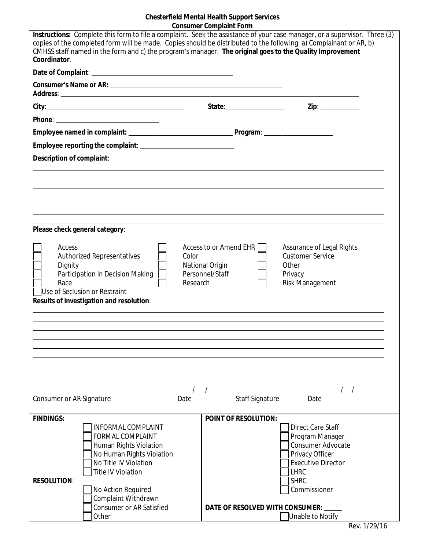# **Chesterfield Mental Health Support Services Consumer Complaint Form**

| Instructions: Complete this form to file a complaint. Seek the assistance of your case manager, or a supervisor. Three (3)<br>copies of the completed form will be made. Copies should be distributed to the following: a) Complainant or AR, b)<br>CMHSS staff named in the form and c) the program's manager. The original goes to the Quality Improvement<br>Coordinator. |                                                                                   |                                                                                                                                                                       |  |  |
|------------------------------------------------------------------------------------------------------------------------------------------------------------------------------------------------------------------------------------------------------------------------------------------------------------------------------------------------------------------------------|-----------------------------------------------------------------------------------|-----------------------------------------------------------------------------------------------------------------------------------------------------------------------|--|--|
|                                                                                                                                                                                                                                                                                                                                                                              |                                                                                   |                                                                                                                                                                       |  |  |
|                                                                                                                                                                                                                                                                                                                                                                              |                                                                                   |                                                                                                                                                                       |  |  |
|                                                                                                                                                                                                                                                                                                                                                                              |                                                                                   | Zip: _____________                                                                                                                                                    |  |  |
|                                                                                                                                                                                                                                                                                                                                                                              |                                                                                   |                                                                                                                                                                       |  |  |
|                                                                                                                                                                                                                                                                                                                                                                              |                                                                                   |                                                                                                                                                                       |  |  |
|                                                                                                                                                                                                                                                                                                                                                                              |                                                                                   |                                                                                                                                                                       |  |  |
| Description of complaint:                                                                                                                                                                                                                                                                                                                                                    |                                                                                   |                                                                                                                                                                       |  |  |
|                                                                                                                                                                                                                                                                                                                                                                              |                                                                                   |                                                                                                                                                                       |  |  |
|                                                                                                                                                                                                                                                                                                                                                                              |                                                                                   |                                                                                                                                                                       |  |  |
|                                                                                                                                                                                                                                                                                                                                                                              |                                                                                   |                                                                                                                                                                       |  |  |
|                                                                                                                                                                                                                                                                                                                                                                              |                                                                                   |                                                                                                                                                                       |  |  |
|                                                                                                                                                                                                                                                                                                                                                                              |                                                                                   |                                                                                                                                                                       |  |  |
| Please check general category:                                                                                                                                                                                                                                                                                                                                               |                                                                                   |                                                                                                                                                                       |  |  |
| Access<br><b>Authorized Representatives</b><br>Dignity<br>Participation in Decision Making<br>Race<br>Use of Seclusion or Restraint<br>Results of investigation and resolution:                                                                                                                                                                                              | Access to or Amend EHR<br>Color<br>National Origin<br>Personnel/Staff<br>Research | Assurance of Legal Rights<br><b>Customer Service</b><br>Other<br>Privacy<br>Risk Management                                                                           |  |  |
|                                                                                                                                                                                                                                                                                                                                                                              |                                                                                   |                                                                                                                                                                       |  |  |
|                                                                                                                                                                                                                                                                                                                                                                              |                                                                                   |                                                                                                                                                                       |  |  |
|                                                                                                                                                                                                                                                                                                                                                                              |                                                                                   |                                                                                                                                                                       |  |  |
|                                                                                                                                                                                                                                                                                                                                                                              |                                                                                   |                                                                                                                                                                       |  |  |
| $\left  \begin{array}{c} \end{array} \right $<br>Staff Signature<br>Consumer or AR Signature<br>Date<br>Date                                                                                                                                                                                                                                                                 |                                                                                   |                                                                                                                                                                       |  |  |
| <b>FINDINGS:</b>                                                                                                                                                                                                                                                                                                                                                             | <b>POINT OF RESOLUTION:</b>                                                       |                                                                                                                                                                       |  |  |
| <b>INFORMAL COMPLAINT</b><br><b>FORMAL COMPLAINT</b><br>Human Rights Violation<br>No Human Rights Violation<br>No Title IV Violation<br>Title IV Violation<br><b>RESOLUTION:</b><br>No Action Required<br>Complaint Withdrawn                                                                                                                                                |                                                                                   | <b>Direct Care Staff</b><br>Program Manager<br><b>Consumer Advocate</b><br>Privacy Officer<br><b>Executive Director</b><br><b>LHRC</b><br><b>SHRC</b><br>Commissioner |  |  |
| <b>Consumer or AR Satisfied</b><br>Other                                                                                                                                                                                                                                                                                                                                     | DATE OF RESOLVED WITH CONSUMER:                                                   | Unable to Notify                                                                                                                                                      |  |  |